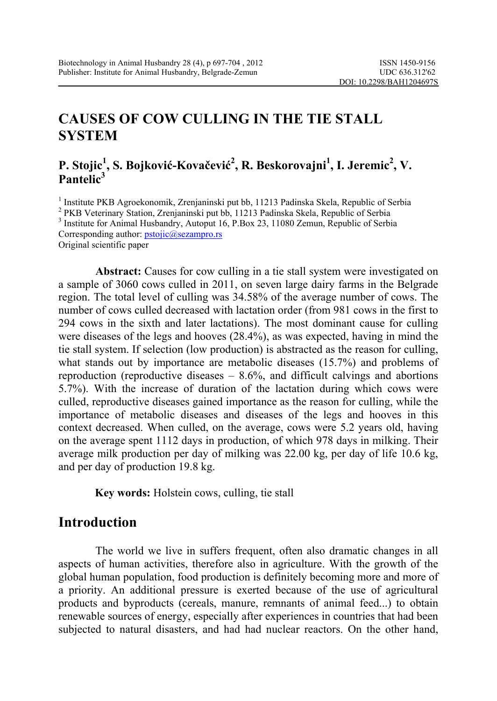# **CAUSES OF COW CULLING IN THE TIE STALL SYSTEM**

### **P. Stojic<sup>1</sup> , S. Bojković-Kovačević 2 , R. Beskorovajni<sup>1</sup> , I. Jeremic<sup>2</sup> , V. Pantelic3**

<sup>1</sup> Institute PKB Agroekonomik, Zrenjaninski put bb, 11213 Padinska Skela, Republic of Serbia<br><sup>2</sup> PKB Veterinary Station, Zrenjaninski put bb, 11213 Padinska Skela, Republic of Serbia <sup>2</sup> PKB Veterinary Station, Zrenjaninski put bb, 11213 Padinska Skela, Republic of Serbia <sup>3</sup> Institute for Animal Husbandry, Autoput 16, P.Box 23, 11080 Zemun, Republic of Serbia Corresponding author: **pstojic@sezampro.rs** Original scientific paper

Abstract: Causes for cow culling in a tie stall system were investigated on a sample of 3060 cows culled in 2011, on seven large dairy farms in the Belgrade region. The total level of culling was 34.58% of the average number of cows. The number of cows culled decreased with lactation order (from 981 cows in the first to 294 cows in the sixth and later lactations). The most dominant cause for culling were diseases of the legs and hooves (28.4%), as was expected, having in mind the tie stall system. If selection (low production) is abstracted as the reason for culling, what stands out by importance are metabolic diseases (15.7%) and problems of reproduction (reproductive diseases  $-8.6\%$ , and difficult calvings and abortions 5.7%). With the increase of duration of the lactation during which cows were culled, reproductive diseases gained importance as the reason for culling, while the importance of metabolic diseases and diseases of the legs and hooves in this context decreased. When culled, on the average, cows were 5.2 years old, having on the average spent 1112 days in production, of which 978 days in milking. Their average milk production per day of milking was 22.00 kg, per day of life 10.6 kg, and per day of production 19.8 kg.

**Key words:** Holstein cows, culling, tie stall

## **Introduction**

The world we live in suffers frequent, often also dramatic changes in all aspects of human activities, therefore also in agriculture. With the growth of the global human population, food production is definitely becoming more and more of a priority. An additional pressure is exerted because of the use of agricultural products and byproducts (cereals, manure, remnants of animal feed...) to obtain renewable sources of energy, especially after experiences in countries that had been subjected to natural disasters, and had had nuclear reactors. On the other hand,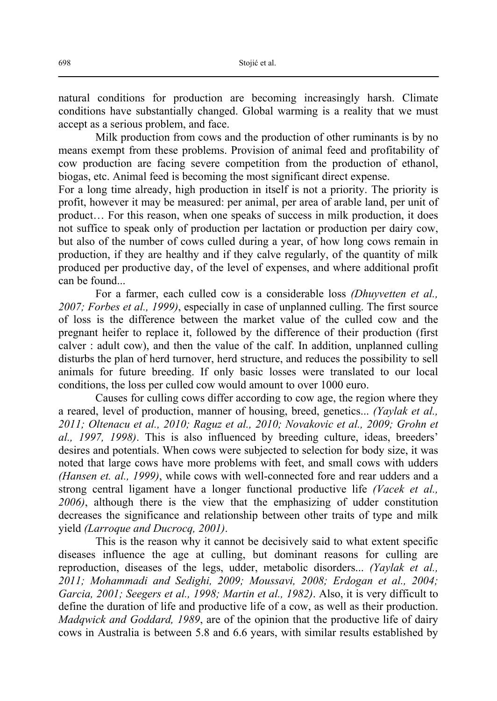natural conditions for production are becoming increasingly harsh. Climate conditions have substantially changed. Global warming is a reality that we must accept as a serious problem, and face.

Milk production from cows and the production of other ruminants is by no means exempt from these problems. Provision of animal feed and profitability of cow production are facing severe competition from the production of ethanol, biogas, etc. Animal feed is becoming the most significant direct expense.

For a long time already, high production in itself is not a priority. The priority is profit, however it may be measured: per animal, per area of arable land, per unit of product… For this reason, when one speaks of success in milk production, it does not suffice to speak only of production per lactation or production per dairy cow, but also of the number of cows culled during a year, of how long cows remain in production, if they are healthy and if they calve regularly, of the quantity of milk produced per productive day, of the level of expenses, and where additional profit can be found...

For a farmer, each culled cow is a considerable loss *(Dhuyvetten et al., 2007; Forbes et al., 1999)*, especially in case of unplanned culling. The first source of loss is the difference between the market value of the culled cow and the pregnant heifer to replace it, followed by the difference of their production (first calver : adult cow), and then the value of the calf. In addition, unplanned culling disturbs the plan of herd turnover, herd structure, and reduces the possibility to sell animals for future breeding. If only basic losses were translated to our local conditions, the loss per culled cow would amount to over 1000 euro.

Causes for culling cows differ according to cow age, the region where they a reared, level of production, manner of housing, breed, genetics... *(Yaylak et al., 2011; Oltenacu et al., 2010; Raguz et al., 2010; Novakovic et al., 2009; Grohn et al., 1997, 1998)*. This is also influenced by breeding culture, ideas, breeders' desires and potentials. When cows were subjected to selection for body size, it was noted that large cows have more problems with feet, and small cows with udders *(Hansen et. al., 1999)*, while cows with well-connected fore and rear udders and a strong central ligament have a longer functional productive life *(Vacek et al., 2006)*, although there is the view that the emphasizing of udder constitution decreases the significance and relationship between other traits of type and milk yield *(Larroque and Ducrocq, 2001)*.

This is the reason why it cannot be decisively said to what extent specific diseases influence the age at culling, but dominant reasons for culling are reproduction, diseases of the legs, udder, metabolic disorders... *(Yaylak et al., 2011; Mohammadi and Sedighi, 2009; Moussavi, 2008; Erdogan et al., 2004; Garcia, 2001; Seegers et al., 1998; Martin et al., 1982)*. Also, it is very difficult to define the duration of life and productive life of a cow, as well as their production. *Madqwick and Goddard, 1989*, are of the opinion that the productive life of dairy cows in Australia is between 5.8 and 6.6 years, with similar results established by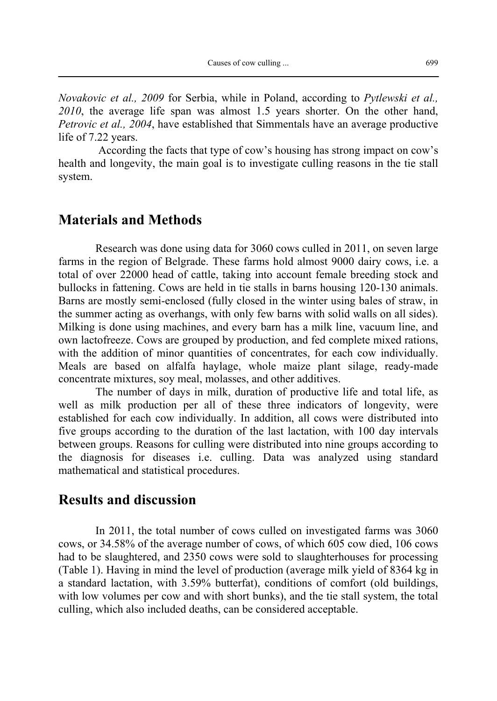*Novakovic et al., 2009* for Serbia, while in Poland, according to *Pytlewski et al., 2010*, the average life span was almost 1.5 years shorter. On the other hand, *Petrovic et al., 2004*, have established that Simmentals have an average productive life of 7.22 years.

 According the facts that type of cow's housing has strong impact on cow's health and longevity, the main goal is to investigate culling reasons in the tie stall system.

### **Materials and Methods**

Research was done using data for 3060 cows culled in 2011, on seven large farms in the region of Belgrade. These farms hold almost 9000 dairy cows, i.e. a total of over 22000 head of cattle, taking into account female breeding stock and bullocks in fattening. Cows are held in tie stalls in barns housing 120-130 animals. Barns are mostly semi-enclosed (fully closed in the winter using bales of straw, in the summer acting as overhangs, with only few barns with solid walls on all sides). Milking is done using machines, and every barn has a milk line, vacuum line, and own lactofreeze. Cows are grouped by production, and fed complete mixed rations, with the addition of minor quantities of concentrates, for each cow individually. Meals are based on alfalfa haylage, whole maize plant silage, ready-made concentrate mixtures, soy meal, molasses, and other additives.

The number of days in milk, duration of productive life and total life, as well as milk production per all of these three indicators of longevity, were established for each cow individually. In addition, all cows were distributed into five groups according to the duration of the last lactation, with 100 day intervals between groups. Reasons for culling were distributed into nine groups according to the diagnosis for diseases i.e. culling. Data was analyzed using standard mathematical and statistical procedures.

#### **Results and discussion**

In 2011, the total number of cows culled on investigated farms was 3060 cows, or 34.58% of the average number of cows, of which 605 cow died, 106 cows had to be slaughtered, and 2350 cows were sold to slaughterhouses for processing (Table 1). Having in mind the level of production (average milk yield of 8364 kg in a standard lactation, with 3.59% butterfat), conditions of comfort (old buildings, with low volumes per cow and with short bunks), and the tie stall system, the total culling, which also included deaths, can be considered acceptable.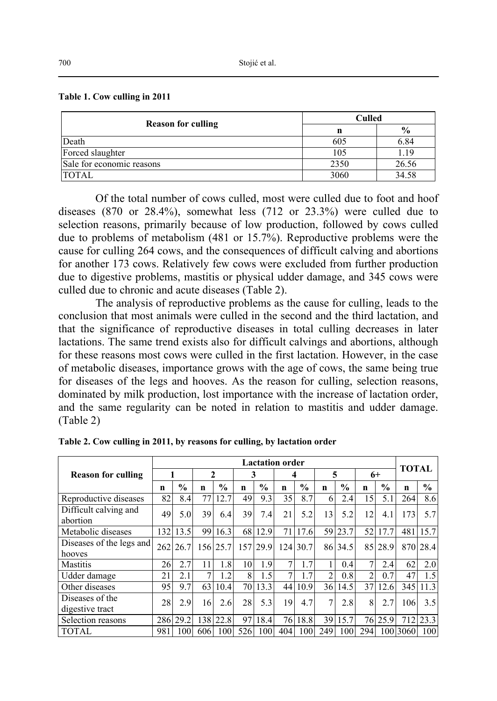#### **Table 1. Cow culling in 2011**

| <b>Reason for culling</b> | Culled |               |  |  |  |  |
|---------------------------|--------|---------------|--|--|--|--|
|                           | n      | $\frac{0}{0}$ |  |  |  |  |
| Death                     | 605    | 6.84          |  |  |  |  |
| Forced slaughter          | 105    | .19           |  |  |  |  |
| Sale for economic reasons | 2350   | 26.56         |  |  |  |  |
| <b>TOTAL</b>              | 3060   | 34.58         |  |  |  |  |

Of the total number of cows culled, most were culled due to foot and hoof diseases (870 or 28.4%), somewhat less (712 or 23.3%) were culled due to selection reasons, primarily because of low production, followed by cows culled due to problems of metabolism (481 or 15.7%). Reproductive problems were the cause for culling 264 cows, and the consequences of difficult calving and abortions for another 173 cows. Relatively few cows were excluded from further production due to digestive problems, mastitis or physical udder damage, and 345 cows were culled due to chronic and acute diseases (Table 2).

The analysis of reproductive problems as the cause for culling, leads to the conclusion that most animals were culled in the second and the third lactation, and that the significance of reproductive diseases in total culling decreases in later lactations. The same trend exists also for difficult calvings and abortions, although for these reasons most cows were culled in the first lactation. However, in the case of metabolic diseases, importance grows with the age of cows, the same being true for diseases of the legs and hooves. As the reason for culling, selection reasons, dominated by milk production, lost importance with the increase of lactation order, and the same regularity can be noted in relation to mastitis and udder damage. (Table 2)

|                                    |     | <b>Lactation order</b> |     |               |     |               |     |               |                |               | <b>TOTAL</b>   |               |          |               |
|------------------------------------|-----|------------------------|-----|---------------|-----|---------------|-----|---------------|----------------|---------------|----------------|---------------|----------|---------------|
| <b>Reason for culling</b>          |     |                        | 2   |               | 3   |               | 4   |               | 5              |               | 6+             |               |          |               |
|                                    | n   | $\frac{0}{0}$          | n   | $\frac{0}{0}$ | n   | $\frac{0}{0}$ | n   | $\frac{0}{0}$ | n              | $\frac{0}{0}$ | n              | $\frac{0}{0}$ | n        | $\frac{6}{9}$ |
| Reproductive diseases              | 82  | 8.4                    | 77  | 12.7          | 49  | 9.3           | 35  | 8.7           | 6              | 2.4           | 15             | 5.1           | 264      | 8.6           |
| Difficult calving and<br>abortion  | 49  | 5.0                    | 39  | 6.4           | 39  | 7.4           | 21  | 5.2           | 13             | 5.2           | 12             | 4.1           | 173      | 5.7           |
| Metabolic diseases                 | 132 | 13.5                   | 99  | 16.3          | 68  | 12.9          | 71  | 17.6          | 59             | 23.7          | 52             | 17.7          | 481      | 15.7          |
| Diseases of the legs and<br>hooves | 262 | 26.7                   |     | 156 25.7      |     | 157 29.9      | 124 | 30.7          |                | 86 34.5       |                | 85 28.9       |          | 870 28.4      |
| <b>Mastitis</b>                    | 26  | 2.7                    | 11  | 1.8           | 10  | 1.9           | 7   | 1.7           |                | 0.4           | 7              | 2.4           | 62       | 2.0           |
| Udder damage                       | 21  | 2.1                    |     | 1.2           | 8   | 1.5           | 7   | 1.7           | $\mathfrak{D}$ | 0.8           | $\overline{2}$ | 0.7           | 47       | 1.5           |
| Other diseases                     | 95  | 9.7                    | 63  | 10.4          |     | 70 13.3       | 44  | 10.9          |                | 36 14.5       | 37             | 12.6          |          | 345 11.3      |
| Diseases of the<br>digestive tract | 28  | 2.9                    | 16  | 2.6           | 28  | 5.3           | 19  | 4.7           | 7              | 2.8           | 8              | 2.7           | 106      | 3.5           |
| Selection reasons                  | 286 | 29.2                   |     | 138 22.8      | 97  | 18.4          | 76  | 18.8          | 39             | 15.7          |                | 76 25.9       |          | 712 23.3      |
| <b>TOTAL</b>                       | 981 | 100                    | 606 | 100           | 526 | 100           | 404 | 100           | 249            | 100           | 294            |               | 100 3060 | 100           |

|  |  |  | Table 2. Cow culling in 2011, by reasons for culling, by lactation order |
|--|--|--|--------------------------------------------------------------------------|
|  |  |  |                                                                          |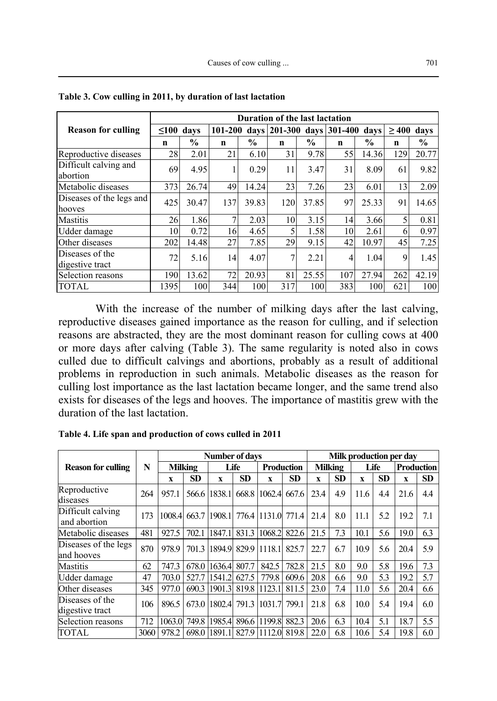|                                    | Duration of the last lactation |       |             |               |             |               |     |                                |     |                 |  |  |
|------------------------------------|--------------------------------|-------|-------------|---------------|-------------|---------------|-----|--------------------------------|-----|-----------------|--|--|
| <b>Reason for culling</b>          | $\leq 100$<br>davs             |       |             | 101-200       |             |               |     | days 201-300 days 301-400 days |     | $\geq 400$ days |  |  |
|                                    | n                              | $\%$  | $\mathbf n$ | $\frac{6}{9}$ | $\mathbf n$ | $\frac{0}{0}$ | n   | $\frac{0}{0}$                  | n   | $\frac{0}{0}$   |  |  |
| Reproductive diseases              | 28                             | 2.01  | 21          | 6.10          | 31          | 9.78          | 55  | 14.36                          | 129 | 20.77           |  |  |
| Difficult calving and<br>abortion  | 69                             | 4.95  |             | 0.29          | 11          | 3.47          | 31  | 8.09                           | 61  | 9.82            |  |  |
| Metabolic diseases                 | 373                            | 26.74 | 49          | 14.24         | 23          | 7.26          | 23  | 6.01                           | 13  | 2.09            |  |  |
| Diseases of the legs and<br>hooves | 425                            | 30.47 | 137         | 39.83         | 120         | 37.85         | 97  | 25.33                          | 91  | 14.65           |  |  |
| Mastitis                           | 26                             | 1.86  | 7           | 2.03          | 10          | 3.15          | 14  | 3.66                           | 5   | 0.81            |  |  |
| Udder damage                       | 10                             | 0.72  | 16          | 4.65          | 5           | 1.58          | 10  | 2.61                           | 6   | 0.97            |  |  |
| Other diseases                     | 202                            | 14.48 | 27          | 7.85          | 29          | 9.15          | 42  | 10.97                          | 45  | 7.25            |  |  |
| Diseases of the<br>digestive tract | 72                             | 5.16  | 14          | 4.07          | 7           | 2.21          | 4   | 1.04                           | 9   | 1.45            |  |  |
| Selection reasons                  | 190                            | 13.62 | 72          | 20.93         | 81          | 25.55         | 107 | 27.94                          | 262 | 42.19           |  |  |
| <b>TOTAL</b>                       | 1395                           | 100   | 344         | <b>100</b>    | 317         | 100           | 383 | 100                            | 621 | 100             |  |  |

**Table 3. Cow culling in 2011, by duration of last lactation** 

With the increase of the number of milking days after the last calving, reproductive diseases gained importance as the reason for culling, and if selection reasons are abstracted, they are the most dominant reason for culling cows at 400 or more days after calving (Table 3). The same regularity is noted also in cows culled due to difficult calvings and abortions, probably as a result of additional problems in reproduction in such animals. Metabolic diseases as the reason for culling lost importance as the last lactation became longer, and the same trend also exists for diseases of the legs and hooves. The importance of mastitis grew with the duration of the last lactation.

|                                    |      | <b>Number of days</b> |       |                                 |           |                   |           |                | Milk production per day |             |           |                   |           |  |  |
|------------------------------------|------|-----------------------|-------|---------------------------------|-----------|-------------------|-----------|----------------|-------------------------|-------------|-----------|-------------------|-----------|--|--|
| <b>Reason for culling</b>          | N    | <b>Milking</b>        |       | Life                            |           | <b>Production</b> |           | <b>Milking</b> |                         | <b>Life</b> |           | <b>Production</b> |           |  |  |
|                                    |      | X                     | SD    | X                               | <b>SD</b> | X                 | <b>SD</b> | X              | <b>SD</b>               | X           | <b>SD</b> | X                 | <b>SD</b> |  |  |
| Reproductive<br>diseases           | 264  | 957.1                 |       | 566.6 1838.1                    |           | 668.8 1062.4      | 667.6     | 23.4           | 4.9                     | 11.6        | 4.4       | 21.6              | 4.4       |  |  |
| Difficult calving<br>and abortion  | 173  | 1008.4                |       | 663.7 1908.1 776.4 1131.0 771.4 |           |                   |           | 21.4           | 8.0                     | 11.1        | 5.2       | 19.2              | 7.1       |  |  |
| Metabolic diseases                 | 481  | 927.5                 | 702.1 | 1847.1                          |           | 831.3 1068.2      | 822.6     | 21.5           | 7.3                     | 10.1        | 5.6       | 19.0              | 6.3       |  |  |
| Diseases of the legs<br>and hooves | 870  | 978.9                 |       | 701.3 1894.9 829.9 11118.1      |           |                   | 825.7     | 22.7           | 6.7                     | 10.9        | 5.6       | 20.4              | 5.9       |  |  |
| Mastitis                           | 62   | 747.3                 | 678.0 | 1636.4                          | 807.7     | 842.5             | 782.8     | 21.5           | 8.0                     | 9.0         | 5.8       | 19.6              | 7.3       |  |  |
| Udder damage                       | 47   | 703.0                 | 527.7 | 1541.2                          | 627.5     | 779.8             | 609.6     | 20.8           | 6.6                     | 9.0         | 5.3       | 19.2              | 5.7       |  |  |
| Other diseases                     | 345  | 977.0                 | 690.3 | 1901.3 819.8 1123.1             |           |                   | 811.5     | 23.0           | 7.4                     | 11.0        | 5.6       | 20.4              | 6.6       |  |  |
| Diseases of the<br>digestive tract | 106  | 896.5                 |       | 673.0 1802.4 791.3 1031.7       |           |                   | 799.1     | 21.8           | 6.8                     | 10.0        | 5.4       | 19.4              | 6.0       |  |  |
| Selection reasons                  | 712  | 1063.0                |       | 749.8 1985.4 896.6 1199.8       |           |                   | 882.3     | 20.6           | 6.3                     | 10.4        | 5.1       | 18.7              | 5.5       |  |  |
| TOTAL                              | 3060 | 978.2                 |       | 698.0 1891.1 827.9 1112.0       |           |                   | 819.8     | 22.0           | 6.8                     | 10.6        | 5.4       | 19.8              | 6.0       |  |  |

**Table 4. Life span and production of cows culled in 2011**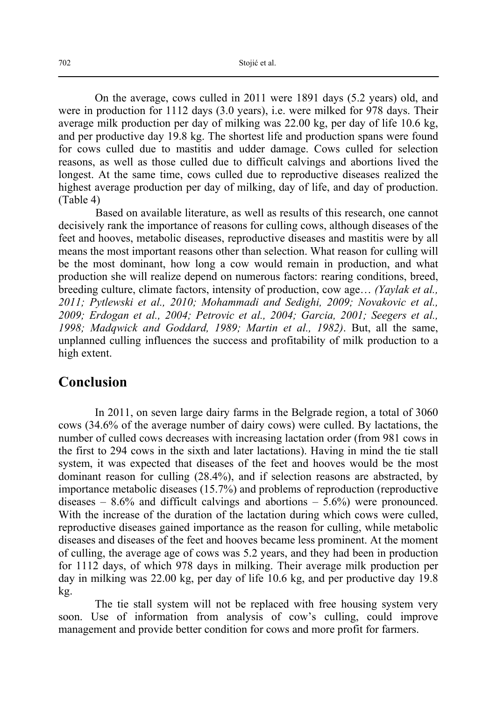On the average, cows culled in 2011 were 1891 days (5.2 years) old, and were in production for 1112 days (3.0 years), i.e. were milked for 978 days. Their average milk production per day of milking was 22.00 kg, per day of life 10.6 kg, and per productive day 19.8 kg. The shortest life and production spans were found for cows culled due to mastitis and udder damage. Cows culled for selection reasons, as well as those culled due to difficult calvings and abortions lived the longest. At the same time, cows culled due to reproductive diseases realized the highest average production per day of milking, day of life, and day of production. (Table 4)

Based on available literature, as well as results of this research, one cannot decisively rank the importance of reasons for culling cows, although diseases of the feet and hooves, metabolic diseases, reproductive diseases and mastitis were by all means the most important reasons other than selection. What reason for culling will be the most dominant, how long a cow would remain in production, and what production she will realize depend on numerous factors: rearing conditions, breed, breeding culture, climate factors, intensity of production, cow age… *(Yaylak et al., 2011; Pytlewski et al., 2010; Mohammadi and Sedighi, 2009; Novakovic et al., 2009; Erdogan et al., 2004; Petrovic et al., 2004; Garcia, 2001; Seegers et al., 1998; Madqwick and Goddard, 1989; Martin et al., 1982)*. But, all the same, unplanned culling influences the success and profitability of milk production to a high extent.

### **Conclusion**

In 2011, on seven large dairy farms in the Belgrade region, a total of 3060 cows (34.6% of the average number of dairy cows) were culled. By lactations, the number of culled cows decreases with increasing lactation order (from 981 cows in the first to 294 cows in the sixth and later lactations). Having in mind the tie stall system, it was expected that diseases of the feet and hooves would be the most dominant reason for culling (28.4%), and if selection reasons are abstracted, by importance metabolic diseases (15.7%) and problems of reproduction (reproductive diseases  $-8.6\%$  and difficult calvings and abortions  $-5.6\%$ ) were pronounced. With the increase of the duration of the lactation during which cows were culled, reproductive diseases gained importance as the reason for culling, while metabolic diseases and diseases of the feet and hooves became less prominent. At the moment of culling, the average age of cows was 5.2 years, and they had been in production for 1112 days, of which 978 days in milking. Their average milk production per day in milking was 22.00 kg, per day of life 10.6 kg, and per productive day 19.8 kg.

 The tie stall system will not be replaced with free housing system very soon. Use of information from analysis of cow's culling, could improve management and provide better condition for cows and more profit for farmers.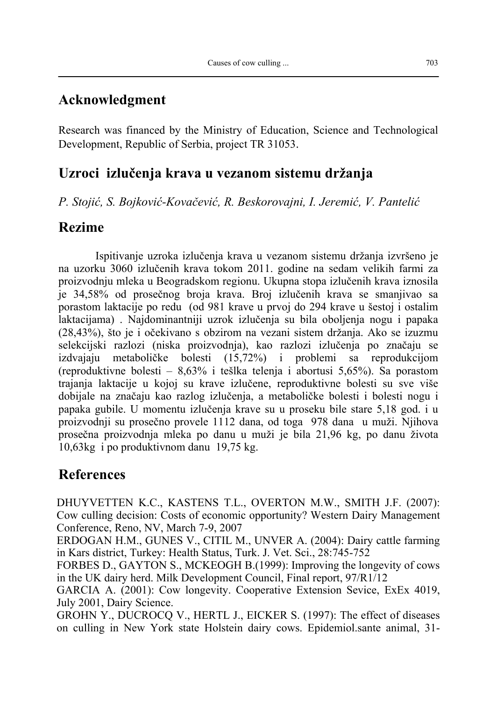### **Acknowledgment**

Research was financed by the Ministry of Education, Science and Technological Development, Republic of Serbia, project TR 31053.

## **Uzroci izlučenja krava u vezanom sistemu držanja**

*P. Stojić, S. Bojković-Kovačević, R. Beskorovajni, I. Jeremić, V. Pantelić* 

### **Rezime**

Ispitivanje uzroka izlučenja krava u vezanom sistemu držanja izvršeno je na uzorku 3060 izlučenih krava tokom 2011. godine na sedam velikih farmi za proizvodnju mleka u Beogradskom regionu. Ukupna stopa izlučenih krava iznosila je 34,58% od prosečnog broja krava. Broj izlučenih krava se smanjivao sa porastom laktacije po redu (od 981 krave u prvoj do 294 krave u šestoj i ostalim laktacijama) . Najdominantniji uzrok izlučenja su bila oboljenja nogu i papaka (28,43%), što je i očekivano s obzirom na vezani sistem držanja. Ako se izuzmu selekcijski razlozi (niska proizvodnja), kao razlozi izlučenja po značaju se izdvajaju metaboličke bolesti (15,72%) i problemi sa reprodukcijom (reproduktivne bolesti – 8,63% i tešlka telenja i abortusi 5,65%). Sa porastom trajanja laktacije u kojoj su krave izlučene, reproduktivne bolesti su sve više dobijale na značaju kao razlog izlučenja, a metaboličke bolesti i bolesti nogu i papaka gubile. U momentu izlučenja krave su u proseku bile stare 5,18 god. i u proizvodnji su prosečno provele 1112 dana, od toga 978 dana u muži. Njihova prosečna proizvodnja mleka po danu u muži je bila 21,96 kg, po danu života 10,63kg i po produktivnom danu 19,75 kg.

## **References**

DHUYVETTEN K.C., KASTENS T.L., OVERTON M.W., SMITH J.F. (2007): Cow culling decision: Costs of economic opportunity? Western Dairy Management Conference, Reno, NV, March 7-9, 2007

ERDOGAN H.M., GUNES V., CITIL M., UNVER A. (2004): Dairy cattle farming in Kars district, Turkey: Health Status, Turk. J. Vet. Sci., 28:745-752

FORBES D., GAYTON S., MCKEOGH B.(1999): Improving the longevity of cows in the UK dairy herd. Milk Development Council, Final report, 97/R1/12

GARCIA A. (2001): Cow longevity. Cooperative Extension Sevice, ExEx 4019, July 2001, Dairy Science.

GROHN Y., DUCROCQ V., HERTL J., EICKER S. (1997): The effect of diseases on culling in New York state Holstein dairy cows. Epidemiol.sante animal, 31